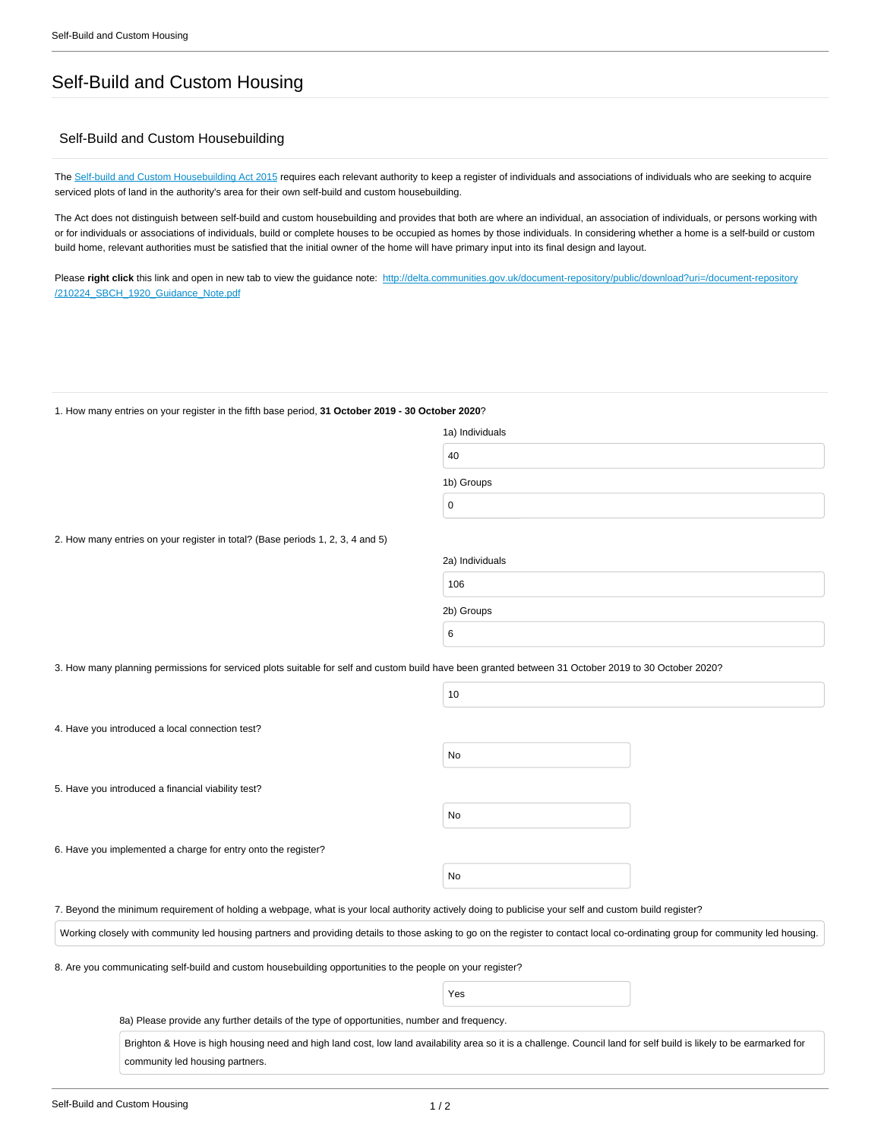## Self-Build and Custom Housing

## Self-Build and Custom Housebuilding

The [Self-build and Custom Housebuilding Act 2015](http://www.legislation.gov.uk/ukpga/2015/17/contents) requires each relevant authority to keep a register of individuals and associations of individuals who are seeking to acquire serviced plots of land in the authority's area for their own self-build and custom housebuilding.

The Act does not distinguish between self-build and custom housebuilding and provides that both are where an individual, an association of individuals, or persons working with or for individuals or associations of individuals, build or complete houses to be occupied as homes by those individuals. In considering whether a home is a self-build or custom build home, relevant authorities must be satisfied that the initial owner of the home will have primary input into its final design and layout.

Please right click this link and open in new tab to view the guidance note: [http://delta.communities.gov.uk/document-repository/public/download?uri=/document-repository](http://delta.communities.gov.uk/document-repository/public/download?uri=/document-repository/210224_SBCH_1920_Guidance_Note.pdf) [/210224\\_SBCH\\_1920\\_Guidance\\_Note.pdf](http://delta.communities.gov.uk/document-repository/public/download?uri=/document-repository/210224_SBCH_1920_Guidance_Note.pdf)

1. How many entries on your register in the fifth base period, **31 October 2019 - 30 October 2020**?

| 1a) Individuals |  |  |  |
|-----------------|--|--|--|
| 40              |  |  |  |
| 1b) Groups      |  |  |  |
| $\mathbf 0$     |  |  |  |
|                 |  |  |  |

2. How many entries on your register in total? (Base periods 1, 2, 3, 4 and 5)

| 2a) Individuals |  |
|-----------------|--|
| 106             |  |
| 2b) Groups      |  |
| 6               |  |

3. How many planning permissions for serviced plots suitable for self and custom build have been granted between 31 October 2019 to 30 October 2020?

|                                                                                                                                                                                 | 10  |  |  |  |  |
|---------------------------------------------------------------------------------------------------------------------------------------------------------------------------------|-----|--|--|--|--|
| 4. Have you introduced a local connection test?                                                                                                                                 |     |  |  |  |  |
|                                                                                                                                                                                 | No  |  |  |  |  |
| 5. Have you introduced a financial viability test?                                                                                                                              |     |  |  |  |  |
|                                                                                                                                                                                 | No  |  |  |  |  |
| 6. Have you implemented a charge for entry onto the register?                                                                                                                   |     |  |  |  |  |
|                                                                                                                                                                                 | No  |  |  |  |  |
| 7. Beyond the minimum requirement of holding a webpage, what is your local authority actively doing to publicise your self and custom build register?                           |     |  |  |  |  |
| Working closely with community led housing partners and providing details to those asking to go on the register to contact local co-ordinating group for community led housing. |     |  |  |  |  |
| 8. Are you communicating self-build and custom housebuilding opportunities to the people on your register?                                                                      |     |  |  |  |  |
|                                                                                                                                                                                 | Yes |  |  |  |  |
| 8a) Please provide any further details of the type of opportunities, number and frequency.                                                                                      |     |  |  |  |  |

Brighton & Hove is high housing need and high land cost, low land availability area so it is a challenge. Council land for self build is likely to be earmarked for community led housing partners.